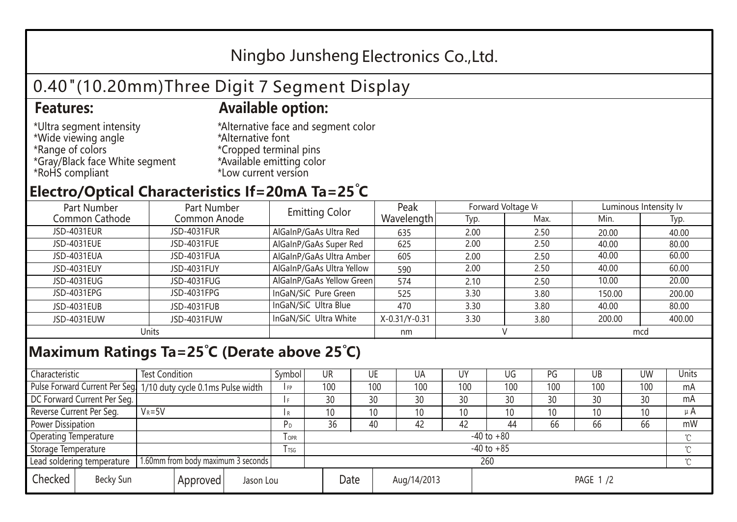## Ningbo Junsheng Electronics Co.,Ltd.

# 0.40"(10.20mm)Three Digit 7 Segment Display

#### **Features: Available option:**

- \*Ultra segment intensity \*Wide viewing angle \*Range of colors \*Gray/Black face White segment \*RoHS compliant
- \*Alternative face and segment color \*Alternative font \*Cropped terminal pins \*Available emitting color \*Low current version

### **Electro/Optical Characteristics If=20mA Ta=25 C**

| Part Number    | Part Number  | <b>Emitting Color</b>     | Peak          | Forward Voltage VF |      | Luminous Intensity lv |        |  |
|----------------|--------------|---------------------------|---------------|--------------------|------|-----------------------|--------|--|
| Common Cathode | Common Anode |                           | Wavelength    | Typ.               | Max. | Min.                  | Typ.   |  |
| JSD-4031EUR    | JSD-4031FUR  | AlGaInP/GaAs Ultra Red    | 635           | 2.00               | 2.50 | 20.00                 | 40.00  |  |
| JSD-4031EUE    | JSD-4031FUE  | AlGaInP/GaAs Super Red    | 625           | 2.00               | 2.50 | 40.00                 | 80.00  |  |
| JSD-4031EUA    | JSD-4031FUA  | AlGaInP/GaAs Ultra Amber  | 605           | 2.00               | 2.50 | 40.00                 | 60.00  |  |
| JSD-4031EUY    | JSD-4031FUY  | AlGaInP/GaAs Ultra Yellow | 590           | 2.00               | 2.50 | 40.00                 | 60.00  |  |
| JSD-4031EUG    | JSD-4031FUG  | AlGaInP/GaAs Yellow Green | 574           | 2.10               | 2.50 | 10.00                 | 20.00  |  |
| JSD-4031EPG    | JSD-4031FPG  | InGaN/SiC Pure Green      | 525           | 3.30               | 3.80 | 150.00                | 200.00 |  |
| JSD-4031EUB    | JSD-4031FUB  | InGaN/SiC Ultra Blue      | 470           | 3.30               | 3.80 | 40.00                 | 80.00  |  |
| JSD-4031EUW    | JSD-4031FUW  | InGaN/SiC Ultra White     | X-0.31/Y-0.31 | 3.30               | 3.80 | 200.00                | 400.00 |  |
| Units          |              |                           | nm            |                    |      | mcd                   |        |  |

#### **Maximum Ratings Ta=25°C (Derate above 25°C)**

| Characteristic                                |            | <b>Test Condition</b><br>Symbol                                  |                     |                | <b>UR</b>       |  | UE       | UA  | UY  | UG  | PG  | UB              | <b>UW</b> | <b>Units</b> |
|-----------------------------------------------|------------|------------------------------------------------------------------|---------------------|----------------|-----------------|--|----------|-----|-----|-----|-----|-----------------|-----------|--------------|
|                                               |            | Pulse Forward Current Per Seg. 1/10 duty cycle 0.1ms Pulse width |                     |                | 100             |  | 100      | 100 | 100 | 100 | 100 | 100             | 100       | mA           |
| DC Forward Current Per Seg.                   |            |                                                                  |                     |                | 30              |  | 30       | 30  | 30  | 30  | 30  | 30              | 30        | mA           |
| Reverse Current Per Seg.                      | $V_R = 5V$ |                                                                  |                     |                | 10 <sup>°</sup> |  | 10       | 10  | 10  | 10  | 10  | 10 <sup>°</sup> | 10        | $\mu$ A      |
| <b>Power Dissipation</b>                      |            |                                                                  |                     |                | 36              |  | 40       | 42  | 42  | 44  | 66  | 66              | 66        | mW           |
| <b>Operating Temperature</b>                  |            |                                                                  | <b>OPR</b>          | $-40$ to $+80$ |                 |  |          |     |     |     |     |                 | $\sim$    |              |
| Storage Temperature                           |            | l tsg                                                            | $-40$ to $+85$      |                |                 |  |          |     |     |     |     | $\gamma$        |           |              |
| Lead soldering temperature                    |            | 1.60mm from body maximum 3 seconds                               |                     |                | 260<br>$\gamma$ |  |          |     |     |     |     |                 |           |              |
| Checked<br>Becky Sun<br>Approved<br>Jason Lou |            |                                                                  | Date<br>Aug/14/2013 |                |                 |  | PAGE 1/2 |     |     |     |     |                 |           |              |